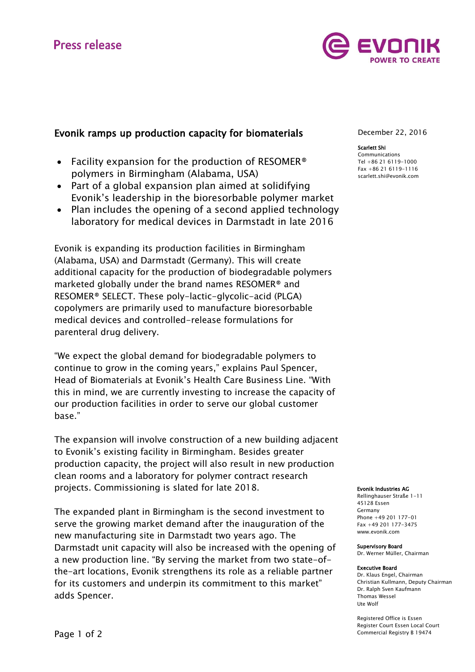# **Press release**



# Evonik ramps up production capacity for biomaterials

- Facility expansion for the production of RESOMER<sup>®</sup> polymers in Birmingham (Alabama, USA)
- Part of a global expansion plan aimed at solidifying Evonik's leadership in the bioresorbable polymer market
- Plan includes the opening of a second applied technology laboratory for medical devices in Darmstadt in late 2016

Evonik is expanding its production facilities in Birmingham (Alabama, USA) and Darmstadt (Germany). This will create additional capacity for the production of biodegradable polymers marketed globally under the brand names RESOMER® and RESOMER® SELECT. These poly-lactic-glycolic-acid (PLGA) copolymers are primarily used to manufacture bioresorbable medical devices and controlled-release formulations for parenteral drug delivery.

"We expect the global demand for biodegradable polymers to continue to grow in the coming years," explains Paul Spencer, Head of Biomaterials at Evonik's Health Care Business Line. "With this in mind, we are currently investing to increase the capacity of our production facilities in order to serve our global customer base."

The expansion will involve construction of a new building adjacent to Evonik's existing facility in Birmingham. Besides greater production capacity, the project will also result in new production clean rooms and a laboratory for polymer contract research projects. Commissioning is slated for late 2018.

The expanded plant in Birmingham is the second investment to serve the growing market demand after the inauguration of the new manufacturing site in Darmstadt two years ago. The Darmstadt unit capacity will also be increased with the opening of a new production line. "By serving the market from two state-ofthe-art locations, Evonik strengthens its role as a reliable partner for its customers and underpin its commitment to this market" adds Spencer.

December 22, 2016

#### Scarlett Shi

Communications Tel +86 21 6119-1000 Fax +86 21 6119-1116 [scarlett.shi@evonik.com](mailto:scarlett.shi@evonik.com)

#### Evonik Industries AG

Rellinghauser Straße 1-11 45128 Essen Germany Phone +49 201 177-01 Fax +49 201 177-3475 www.evonik.com

Supervisory Board

Dr. Werner Müller, Chairman

#### Executive Board

Dr. Klaus Engel, Chairman Christian Kullmann, Deputy Chairman Dr. Ralph Sven Kaufmann Thomas Wessel Ute Wolf

Registered Office is Essen Register Court Essen Local Court Commercial Registry B 19474